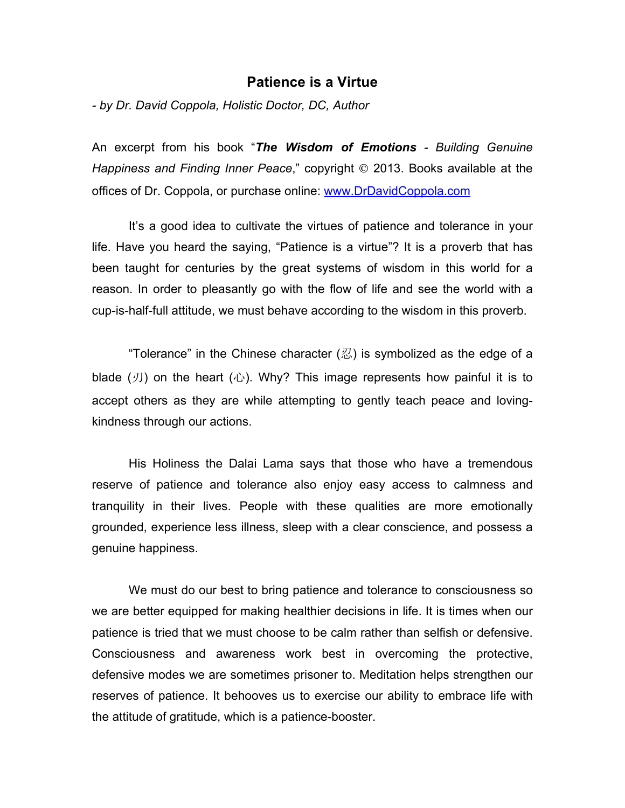## **Patience is a Virtue**

*- by Dr. David Coppola, Holistic Doctor, DC, Author*

An excerpt from his book "*The Wisdom of Emotions - Building Genuine Happiness and Finding Inner Peace*," copyright  $\odot$  2013. Books available at the offices of Dr. Coppola, or purchase online: www.DrDavidCoppola.com

It's a good idea to cultivate the virtues of patience and tolerance in your life. Have you heard the saying, "Patience is a virtue"? It is a proverb that has been taught for centuries by the great systems of wisdom in this world for a reason. In order to pleasantly go with the flow of life and see the world with a cup-is-half-full attitude, we must behave according to the wisdom in this proverb.

"Tolerance" in the Chinese character  $(\mathbb{Z})$  is symbolized as the edge of a blade  $(\mathcal{I})$  on the heart  $(\mathcal{L})$ . Why? This image represents how painful it is to accept others as they are while attempting to gently teach peace and lovingkindness through our actions.

His Holiness the Dalai Lama says that those who have a tremendous reserve of patience and tolerance also enjoy easy access to calmness and tranquility in their lives. People with these qualities are more emotionally grounded, experience less illness, sleep with a clear conscience, and possess a genuine happiness.

We must do our best to bring patience and tolerance to consciousness so we are better equipped for making healthier decisions in life. It is times when our patience is tried that we must choose to be calm rather than selfish or defensive. Consciousness and awareness work best in overcoming the protective, defensive modes we are sometimes prisoner to. Meditation helps strengthen our reserves of patience. It behooves us to exercise our ability to embrace life with the attitude of gratitude, which is a patience-booster.